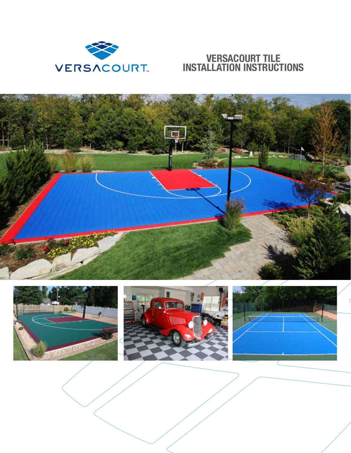

## **VERSACOURT TILE INSTALLATION INSTRUCTIONS**

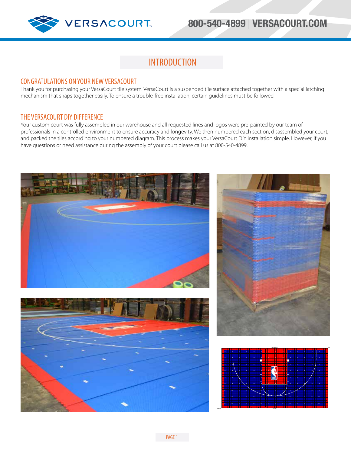

## **INTRODUCTION**

#### CONGRATULATIONS ON YOUR NEW VERSACOURT

Thank you for purchasing your VersaCourt tile system. VersaCourt is a suspended tile surface attached together with a special latching mechanism that snaps together easily. To ensure a trouble-free installation, certain guidelines must be followed

#### THE VERSACOURT DIY DIFFERENCE

Your custom court was fully assembled in our warehouse and all requested lines and logos were pre-painted by our team of professionals in a controlled environment to ensure accuracy and longevity. We then numbered each section, disassembled your court, and packed the tiles according to your numbered diagram. This process makes your VersaCourt DIY installation simple. However, if you have questions or need assistance during the assembly of your court please call us at 800-540-4899.

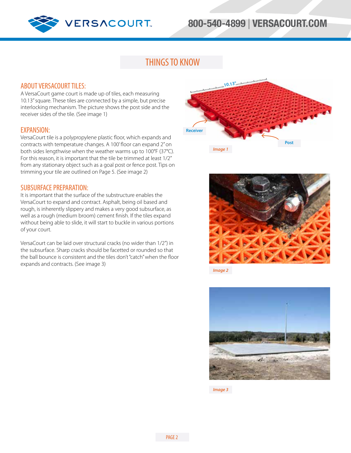

# **800-540-4899** | **VERSACOURT.COM**

## THINGS TO KNOW

#### ABOUT VERSACOURT TILES:

A VersaCourt game court is made up of tiles, each measuring 10.13" square. These tiles are connected by a simple, but precise interlocking mechanism. The picture shows the post side and the receiver sides of the tile. (See image 1)

#### EXPANSION:

VersaCourt tile is a polypropylene plastic floor, which expands and contracts with temperature changes. A 100' floor can expand 2" on both sides lengthwise when the weather warms up to 100°F (37°C). For this reason, it is important that the tile be trimmed at least 1/2" from any stationary object such as a goal post or fence post. Tips on trimming your tile are outlined on Page 5. (See image 2)

#### SUBSURFACE PREPARATION:

It is important that the surface of the substructure enables the VersaCourt to expand and contract. Asphalt, being oil based and rough, is inherently slippery and makes a very good subsurface, as well as a rough (medium broom) cement finish. If the tiles expand without being able to slide, it will start to buckle in various portions of your court.

VersaCourt can be laid over structural cracks (no wider than 1/2") in the subsurface. Sharp cracks should be facetted or rounded so that the ball bounce is consistent and the tiles don't "catch" when the floor expands and contracts. (See image 3)





*Image 2*

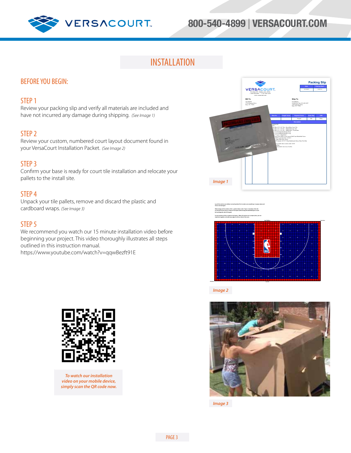

# **800-540-4899** | **VERSACOURT.COM**

## INSTALLATION

### BEFORE YOU BEGIN:

#### STEP 1

Review your packing slip and verify all materials are included and have not incurred any damage during shipping. *(See Image 1)*

#### STEP 2

Review your custom, numbered court layout document found in your VersaCourt Installation Packet. *(See Image 2)*

#### STEP 3

Confirm your base is ready for court tile installation and relocate your pallets to the install site.

#### STEP 4

Unpack your tile pallets, remove and discard the plastic and cardboard wraps. *(See Image 3)*

#### STEP 5

We recommend you watch our 15 minute installation video before beginning your project. This video thoroughly illustrates all steps outlined in this instruction manual. https://www.youtube.com/watch?v=qqwBezft91E







*Image 2*



*Image 3*



*To watch our installation video on your mobile device, simply scan the QR code now.*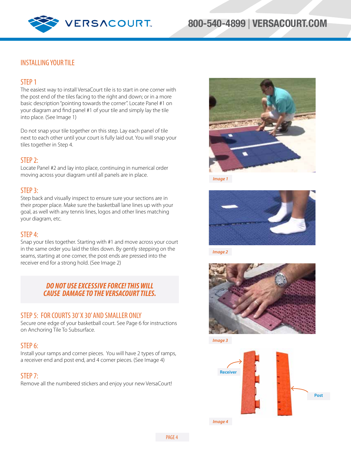



### INSTALLING YOUR TILE

#### STEP 1

The easiest way to install VersaCourt tile is to start in one corner with the post end of the tiles facing to the right and down; or in a more basic description "pointing towards the corner". Locate Panel #1 on your diagram and find panel #1 of your tile and simply lay the tile into place. (See Image 1)

Do not snap your tile together on this step. Lay each panel of tile next to each other until your court is fully laid out. You will snap your tiles together in Step 4.

#### STEP 2:

Locate Panel #2 and lay into place, continuing in numerical order moving across your diagram until all panels are in place.

#### STEP<sub>3</sub>:

Step back and visually inspect to ensure sure your sections are in their proper place. Make sure the basketball lane lines up with your goal, as well with any tennis lines, logos and other lines matching your diagram, etc.

#### STEP 4:

Snap your tiles together. Starting with #1 and move across your court in the same order you laid the tiles down. By gently stepping on the seams, starting at one corner, the post ends are pressed into the receiver end for a strong hold. (See Image 2)

#### *DO NOT USE EXCESSIVE FORCE! THIS WILL CAUSE DAMAGE TO THE VERSACOURT TILES.*

#### STEP 5: FOR COURTS 30' X 30' AND SMALLER ONLY

Secure one edge of your basketball court. See Page 6 for instructions on Anchoring Tile To Subsurface.

#### STEP 6:

Install your ramps and corner pieces. You will have 2 types of ramps, a receiver end and post end, and 4 corner pieces. (See Image 4)

#### STEP 7:

Remove all the numbered stickers and enjoy your new VersaCourt!



*Image 1*



*Image 2*



*Image 3*

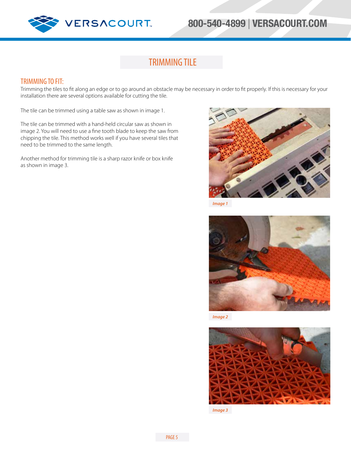

# **800-540-4899** | **VERSACOURT.COM**

## TRIMMING TILE

#### TRIMMING TO FIT:

Trimming the tiles to fit along an edge or to go around an obstacle may be necessary in order to fit properly. If this is necessary for your installation there are several options available for cutting the tile.

The tile can be trimmed using a table saw as shown in image 1.

The tile can be trimmed with a hand-held circular saw as shown in image 2. You will need to use a fine tooth blade to keep the saw from chipping the tile. This method works well if you have several tiles that need to be trimmed to the same length.

Another method for trimming tile is a sharp razor knife or box knife as shown in image 3.



*Image 1*



*Image 2*

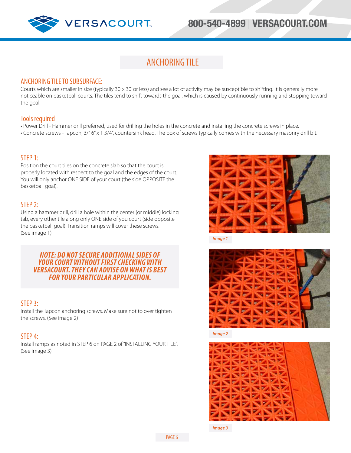

## ANCHORING TILE

### ANCHORING TILE TO SUBSURFACE:

Courts which are smaller in size (typically 30' x 30' or less) and see a lot of activity may be susceptible to shifting. It is generally more noticeable on basketball courts. The tiles tend to shift towards the goal, which is caused by continuously running and stopping toward the goal.

### Tools required

- Power Drill Hammer drill preferred, used for drilling the holes in the concrete and installing the concrete screws in place.
- Concrete screws Tapcon, 3/16" x 1 3/4", countersink head. The box of screws typically comes with the necessary masonry drill bit.

### STEP 1:

Position the court tiles on the concrete slab so that the court is properly located with respect to the goal and the edges of the court. You will only anchor ONE SIDE of your court (the side OPPOSITE the basketball goal).

### STEP 2:

Using a hammer drill, drill a hole within the center (or middle) locking tab, every other tile along only ONE side of you court (side opposite the basketball goal). Transition ramps will cover these screws. (See image 1)

#### *NOTE: DO NOT SECURE ADDITIONAL SIDES OF YOUR COURT WITHOUT FIRST CHECKING WITH VERSACOURT. THEY CAN ADVISE ON WHAT IS BEST FOR YOUR PARTICULAR APPLICATION.*

### STEP 3:

Install the Tapcon anchoring screws. Make sure not to over tighten the screws. (See image 2)

### STEP 4:

Install ramps as noted in STEP 6 on PAGE 2 of "INSTALLING YOUR TILE". (See image 3)



*Image 1*



*Image 2*